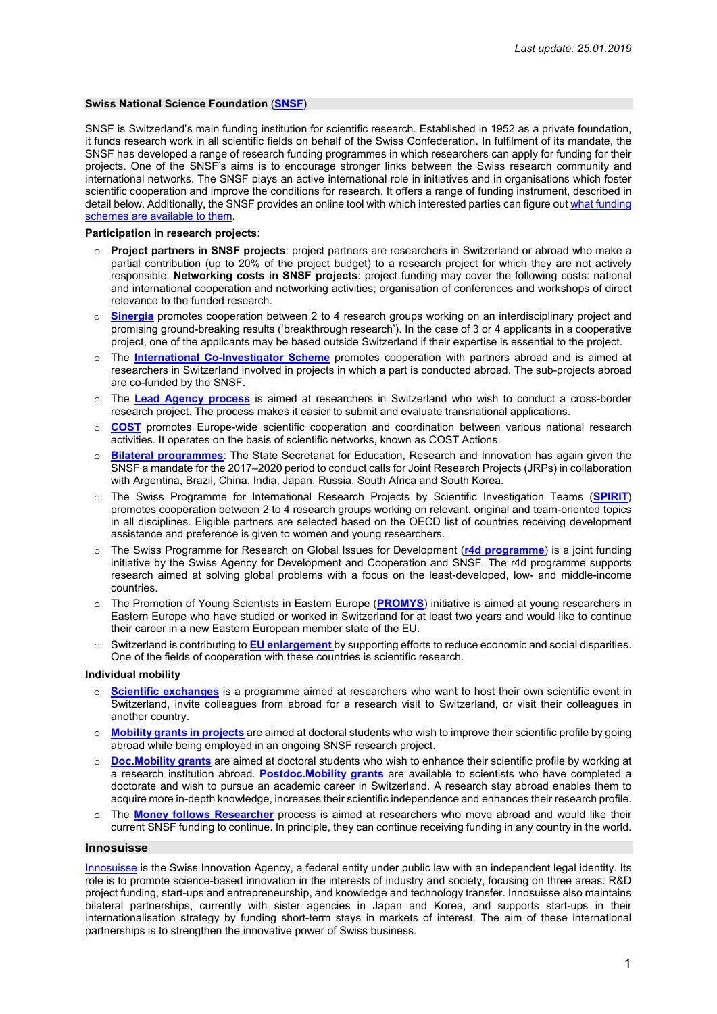#### **Swiss National Science Foundation** (**[SNSF](http://www.snf.ch/de/Seiten/default.aspx)**)

SNSF is Switzerland's main funding institution for scientific research. Established in 1952 as a private foundation, it funds research work in all scientific fields on behalf of the Swiss Confederation. In fulfilment of its mandate, the SNSF has developed a range of research funding programmes in which researchers can apply for funding for their projects. One of the SNSF's aims is to encourage stronger links between the Swiss research community and international networks. The SNSF plays an active international role in initiatives and in organisations which foster scientific cooperation and improve the conditions for research. It offers a range of funding instrument, described in detail below. Additionally, the SNSF provides an online tool with which interested parties can figure out what funding [schemes are available to them.](http://www.snf.ch/en/funding/selection-guide-for-funding-schemes/Pages/default.aspx)

**Participation in research projects**:

- o **Project partners in SNSF projects**: project partners are researchers in Switzerland or abroad who make a partial contribution (up to 20% of the project budget) to a research project for which they are not actively responsible. **Networking costs in SNSF projects**: project funding may cover the following costs: national and international cooperation and networking activities; organisation of conferences and workshops of direct relevance to the funded research.
- o **[Sinergia](http://www.snf.ch/de/foerderung/programme/sinergia/Seiten/default.aspx)** promotes cooperation between 2 to 4 research groups working on an interdisciplinary project and promising ground-breaking results ('breakthrough research'). In the case of 3 or 4 applicants in a cooperative project, one of the applicants may be based outside Switzerland if their expertise is essential to the project.
- The **[International Co-Investigator Scheme](http://www.snf.ch/de/foerderung/projekte/international-co-investigator-scheme/Seiten/default.aspx)** promotes cooperation with partners abroad and is aimed at researchers in Switzerland involved in projects in which a part is conducted abroad. The sub-projects abroad are co-funded by the SNSF.
- o The **[Lead Agency process](http://www.snf.ch/de/foerderung/projekte/lead-agency/Seiten/default.aspx)** is aimed at researchers in Switzerland who wish to conduct a cross-border research project. The process makes it easier to submit and evaluate transnational applications.
- o **[COST](http://www.snf.ch/de/foerderung/programme/cost/Seiten/default.aspx)** promotes Europe-wide scientific cooperation and coordination between various national research activities. It operates on the basis of scientific networks, known as COST Actions.
- **[Bilateral programmes](http://www.snf.ch/de/foerderung/programme/bilaterale-programme/Seiten/default.aspx)**: The State Secretariat for Education, Research and Innovation has again given the SNSF a mandate for the 2017–2020 period to conduct calls for Joint Research Projects (JRPs) in collaboration with Argentina, Brazil, China, India, Japan, Russia, South Africa and South Korea.
- o The Swiss Programme for International Research Projects by Scientific Investigation Teams (**[SPIRIT](http://www.snf.ch/en/funding/programmes/spirit/Pages/default.aspx)**) promotes cooperation between 2 to 4 research groups working on relevant, original and team-oriented topics in all disciplines. Eligible partners are selected based on the OECD list of countries receiving development assistance and preference is given to women and young researchers.
- o The Swiss Programme for Research on Global Issues for Development (**[r4d](http://www.r4d.ch/) programme**) is a joint funding initiative by the Swiss Agency for Development and Cooperation and SNSF. The r4d programme supports research aimed at solving global problems with a focus on the least-developed, low- and middle-income countries.
- o The Promotion of Young Scientists in Eastern Europe (**[PROMYS](http://www.snf.ch/de/foerderung/karrieren/promys/Seiten/default.aspx)**) initiative is aimed at young researchers in Eastern Europe who have studied or worked in Switzerland for at least two years and would like to continue their career in a new Eastern European member state of the EU.
- o Switzerland is contributing to **[EU enlargement](http://www.snf.ch/de/foerderung/programme/erweiterungsbeitraege/Seiten/default.aspx)** by supporting efforts to reduce economic and social disparities. One of the fields of cooperation with these countries is scientific research.

**Individual mobility**

- o **[Scientific exchanges](http://www.snf.ch/de/foerderung/wissenschaftskommunikation/scientific-exchanges/Seiten/default.aspx)** is a programme aimed at researchers who want to host their own scientific event in Switzerland, invite colleagues from abroad for a research visit to Switzerland, or visit their colleagues in another country.
- o **[Mobility grants in projects](http://www.snf.ch/de/foerderung/ergaenzende-measures/mobilitaetsbeitraege-in-projekten/Seiten/default.aspx)** are aimed at doctoral students who wish to improve their scientific profile by going abroad while being employed in an ongoing SNSF research project.
- o **[Doc.Mobility](http://www.snf.ch/de/foerderung/karrieren/doc-mobility/Seiten/default.aspx) grants** are aimed at doctoral students who wish to enhance their scientific profile by working at a research institution abroad. **[Postdoc.Mobility](http://www.snf.ch/de/foerderung/karrieren/postdoc-mobility/Seiten/default.aspx) grants** are available to scientists who have completed a doctorate and wish to pursue an academic career in Switzerland. A research stay abroad enables them to acquire more in-depth knowledge, increases their scientific independence and enhances their research profile.
- The **[Money follows Researcher](http://www.snf.ch/de/foerderung/ergaenzende-measures/money-follows-researcher/Seiten/default.aspx)** process is aimed at researchers who move abroad and would like their current SNSF funding to continue. In principle, they can continue receiving funding in any country in the world.

## **Innosuisse**

[Innosuisse](http://www.innosuisse.ch/) is the Swiss Innovation Agency, a federal entity under public law with an independent legal identity. Its role is to promote science-based innovation in the interests of industry and society, focusing on three areas: R&D project funding, start-ups and entrepreneurship, and knowledge and technology transfer. Innosuisse also maintains bilateral partnerships, currently with sister agencies in Japan and Korea, and supports start-ups in their internationalisation strategy by funding short-term stays in markets of interest. The aim of these international partnerships is to strengthen the innovative power of Swiss business.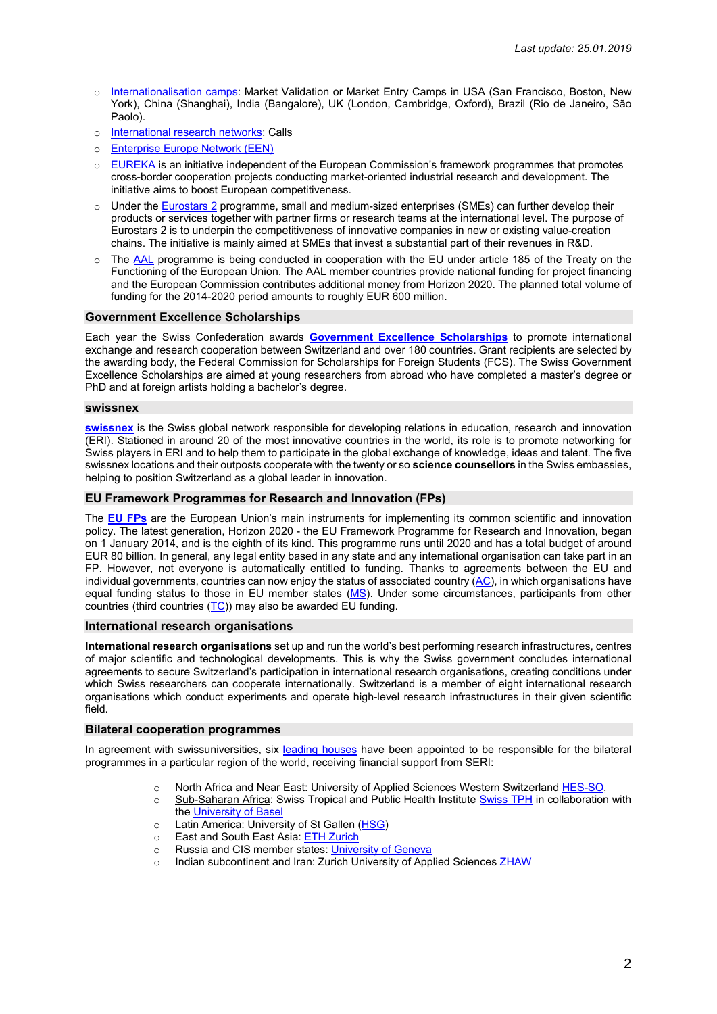- o [Internationalisation](https://www.innosuisse.ch/inno/de/home/go-global/market-entry-camps.html) camps: Market Validation or Market Entry Camps in USA [\(San Francisco, Boston, New](https://www.swissnexsanfrancisco.org/innosuisse/)  [York\)](https://www.swissnexsanfrancisco.org/innosuisse/), China (Shanghai), India (Bangalore), UK [\(London, Cambridge, Oxford\)](https://www.eda.admin.ch/countries/united-kingdom/en/home/representations/embassy-in-london/embassy-tasks/sci-tech-edu/cticampuk.html), Brazil (Rio de Janeiro, São Paolo).
- o [International research](https://www.innosuisse.ch/inno/de/home/go-global/internationale-forschungsnetzwerke.html) networks: Calls
- o [Enterprise Europe Network \(EEN\)](https://www.innosuisse.ch/inno/de/home/go-global/een.html)
- $\circ$  [EUREKA](https://www.innosuisse.ch/inno/en/home/go-global/EUREKA.html) is an initiative independent of the European Commission's framework programmes that promotes cross-border cooperation projects conducting market-oriented industrial research and development. The initiative aims to boost European competitiveness.
- o Under the [Eurostars](https://www.innosuisse.ch/inno/en/home/go-global/eurostars-2--unterstuetzung-fuer-kmu.html) 2 programme, small and medium-sized enterprises (SMEs) can further develop their products or services together with partner firms or research teams at the international level. The purpose of Eurostars 2 is to underpin the competitiveness of innovative companies in new or existing value-creation chains. The initiative is mainly aimed at SMEs that invest a substantial part of their revenues in R&D.
- o The [AAL](https://www.innosuisse.ch/inno/en/home/go-global/aal--hoehere-lebensqualitaet-fuer-aeltere-menschen-.html) programme is being conducted in cooperation with the EU under article 185 of the Treaty on the Functioning of the European Union. The AAL member countries provide national funding for project financing and the European Commission contributes additional money from Horizon 2020. The planned total volume of funding for the 2014-2020 period amounts to roughly EUR 600 million.

## **[Government Excellence Scholarships](https://www.sbfi.admin.ch/sbfi/de/home/bildung/stipendien/eskas.html)**

Each year the Swiss Confederation awards **[Government Excellence Scholarships](https://www.sbfi.admin.ch/sbfi/de/home/bildung/stipendien/eskas.html)** to promote international exchange and research cooperation between Switzerland and over 180 countries. Grant recipients are selected by the awarding body, the Federal Commission for Scholarships for Foreign Students (FCS). The Swiss Government Excellence Scholarships are aimed at young researchers from abroad who have completed a master's degree or PhD and at foreign artists holding a bachelor's degree.

#### **swissnex**

**[swissnex](https://www.swissnex.org/)** is the Swiss global network responsible for developing relations in education, research and innovation (ERI). Stationed in around 20 of the most innovative countries in the world, its role is to promote networking for Swiss players in ERI and to help them to participate in the global exchange of knowledge, ideas and talent. The five swissnex locations and their outposts cooperate with the twenty or so **science counsellors** in the Swiss embassies, helping to position Switzerland as a global leader in innovation.

## **EU Framework Programmes for Research and Innovation [\(FPs](https://www.sbfi.admin.ch/sbfi/de/home/themen/internationale-forschungs--und-innovationszusammenarbeit/forschungsrahmenprogramme-der-europaeischen-union.html))**

The **EU [FPs](https://www.sbfi.admin.ch/sbfi/de/home/themen/internationale-forschungs--und-innovationszusammenarbeit/forschungsrahmenprogramme-der-europaeischen-union.html)** are the European Union's main instruments for implementing its common scientific and innovation policy. The latest generation, Horizon 2020 - the EU Framework Programme for Research and Innovation, began on 1 January 2014, and is the eighth of its kind. This programme runs until 2020 and has a total budget of around EUR 80 billion. In general, any legal entity based in any state and any international organisation can take part in an FP. However, not everyone is automatically entitled to funding. Thanks to agreements between the EU and individual governments, countries can now enjoy the status of associated country [\(AC\)](http://ec.europa.eu/research/participants/data/ref/h2020/grants_manual/hi/3cpart/h2020-hi-list-ac_en.pdf), in which organisations have equal funding status to those in EU member states [\(MS\)](https://ec.europa.eu/research/participants/data/ref/h2020/other/wp/2018-2020/annexes/h2020-wp1820-annex-a-countries-rules_en.pdf). Under some circumstances, participants from other countries (third countries (TC)) may also be awarded EU funding.

# **International research organisations**

**International research organisations** set up and run the world's best performing research infrastructures, centres of major scientific and technological developments. This is why the Swiss government concludes international agreements to secure Switzerland's participation in international research organisations, creating conditions under which Swiss researchers can cooperate internationally. Switzerland is a member of eight international research organisations which conduct experiments and operate high-level research infrastructures in their given scientific field.

### **Bilateral cooperation programmes**

In agreement with swissuniversities, six [leading](https://www.sbfi.admin.ch/sbfi/de/home/themen/internationale-forschungs--und-innovationszusammenarbeit/bilaterale-programme.html) houses have been appointed to be responsible for the bilateral programmes in a particular region of the world, receiving financial support from SERI:

- o North Africa and Near East: University of Applied Sciences Western Switzerland [HES-SO,](https://www.hes-so.ch/fr/leading-house-mena-10324.html)
- o Sub-Saharan Africa: Swiss Tropical and Public Health Institute [Swiss TPH](https://www.swisstph.ch/en/research-we-do/leading-house/) in collaboration with the [University of](https://www.unibas.ch/en/University/Administration-Services/The-President-s-Office/National-and-International-Cooperation/International-Relations/Joint-Programs/Swiss-African-Research-Cooperation.html) Base
- Latin America: University of St Gallen [\(HSG\)](https://cls.unisg.ch/de/research/leading-house)<br>○ East and South East Asia: ETH Zurich
- East and South East Asia[: ETH Zurich](https://www.ethz.ch/en/the-eth-zurich/global/funding-opportunities/swiss-bilateral-programmes.html)
- o Russia and CIS member states: [University of](http://unige-leadinghouse.ch/) Geneva
- Indian subcontinent and Iran: Zurich University of Applied Sciences [ZHAW](https://www.zhaw.ch/en/research/leading-house-south-asia-and-iran/)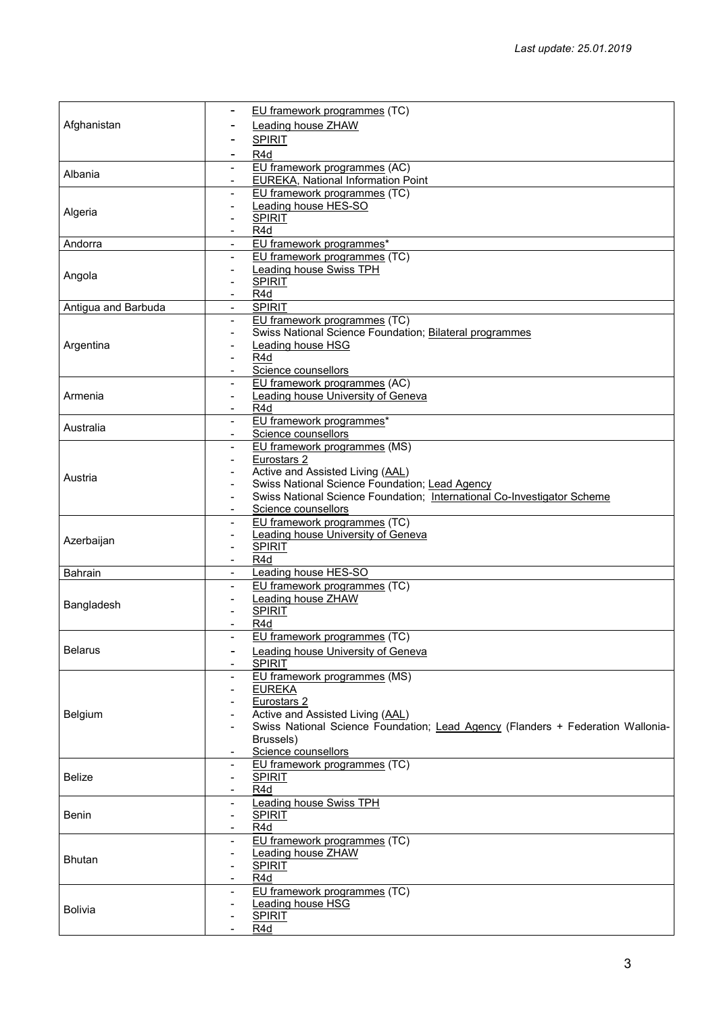| Afghanistan         | EU framework programmes (TC)                                                                                              |
|---------------------|---------------------------------------------------------------------------------------------------------------------------|
|                     | Leading house ZHAW                                                                                                        |
|                     | <b>SPIRIT</b>                                                                                                             |
|                     | R4d                                                                                                                       |
|                     | EU framework programmes (AC)                                                                                              |
| Albania             | <b>EUREKA, National Information Point</b>                                                                                 |
|                     | EU framework programmes (TC)<br>$\overline{\phantom{a}}$                                                                  |
| Algeria             | Leading house HES-SO<br>$\overline{\phantom{a}}$                                                                          |
|                     | <b>SPIRIT</b>                                                                                                             |
|                     | R <sub>4</sub> d                                                                                                          |
| Andorra             | EU framework programmes*<br>$\blacksquare$                                                                                |
|                     | EU framework programmes (TC)<br>$\blacksquare$                                                                            |
| Angola              | <b>Leading house Swiss TPH</b>                                                                                            |
|                     | <b>SPIRIT</b><br>R <sub>4</sub> d                                                                                         |
| Antigua and Barbuda | $\overline{\phantom{a}}$<br><b>SPIRIT</b>                                                                                 |
|                     | EU framework programmes (TC)                                                                                              |
|                     | Swiss National Science Foundation; Bilateral programmes                                                                   |
| Argentina           | Leading house HSG                                                                                                         |
|                     | R4d                                                                                                                       |
|                     | Science counsellors                                                                                                       |
|                     | EU framework programmes (AC)                                                                                              |
| Armenia             | <b>Leading house University of Geneva</b><br>$\blacksquare$                                                               |
|                     | R <sub>4</sub> d                                                                                                          |
| Australia           | EU framework programmes*                                                                                                  |
|                     | Science counsellors                                                                                                       |
|                     | EU framework programmes (MS)                                                                                              |
|                     | Eurostars <sub>2</sub><br>$\overline{\phantom{a}}$                                                                        |
| Austria             | Active and Assisted Living (AAL)                                                                                          |
|                     | Swiss National Science Foundation; Lead Agency<br>Swiss National Science Foundation; International Co-Investigator Scheme |
|                     | $\blacksquare$<br>Science counsellors                                                                                     |
|                     | EU framework programmes (TC)                                                                                              |
|                     | <b>Leading house University of Geneva</b>                                                                                 |
| Azerbaijan          | <b>SPIRIT</b><br>$\blacksquare$                                                                                           |
|                     | R <sub>4</sub> d                                                                                                          |
| <b>Bahrain</b>      | <b>Leading house HES-SO</b>                                                                                               |
|                     | EU framework programmes (TC)<br>$\blacksquare$                                                                            |
| Bangladesh          | Leading house ZHAW                                                                                                        |
|                     | <b>SPIRIT</b><br>$\blacksquare$                                                                                           |
|                     | R <sub>4</sub> d                                                                                                          |
|                     | EU framework programmes (TC)                                                                                              |
| <b>Belarus</b>      | <b>Leading house University of Geneva</b>                                                                                 |
|                     | <b>SPIRIT</b>                                                                                                             |
|                     | EU framework programmes (MS)<br>$\overline{\phantom{a}}$                                                                  |
|                     | <b>EUREKA</b>                                                                                                             |
|                     | Eurostars <sub>2</sub><br>Active and Assisted Living (AAL)                                                                |
| Belgium             | Swiss National Science Foundation; Lead Agency (Flanders + Federation Wallonia-                                           |
|                     | Brussels)                                                                                                                 |
|                     | Science counsellors                                                                                                       |
|                     | EU framework programmes (TC)<br>$\blacksquare$                                                                            |
| <b>Belize</b>       | <b>SPIRIT</b><br>$\overline{\phantom{a}}$                                                                                 |
|                     | R4d                                                                                                                       |
|                     | <b>Leading house Swiss TPH</b><br>$\overline{\phantom{a}}$                                                                |
| Benin               | <b>SPIRIT</b><br>$\blacksquare$                                                                                           |
|                     | R <sub>4</sub> d<br>$\blacksquare$                                                                                        |
|                     | EU framework programmes (TC)                                                                                              |
| <b>Bhutan</b>       | <b>Leading house ZHAW</b>                                                                                                 |
|                     | <b>SPIRIT</b>                                                                                                             |
|                     | R <sub>4</sub> d                                                                                                          |
|                     | EU framework programmes (TC)<br>$\overline{\phantom{a}}$<br>Leading house HSG                                             |
| <b>Bolivia</b>      | <b>SPIRIT</b>                                                                                                             |
|                     | R4d                                                                                                                       |
|                     |                                                                                                                           |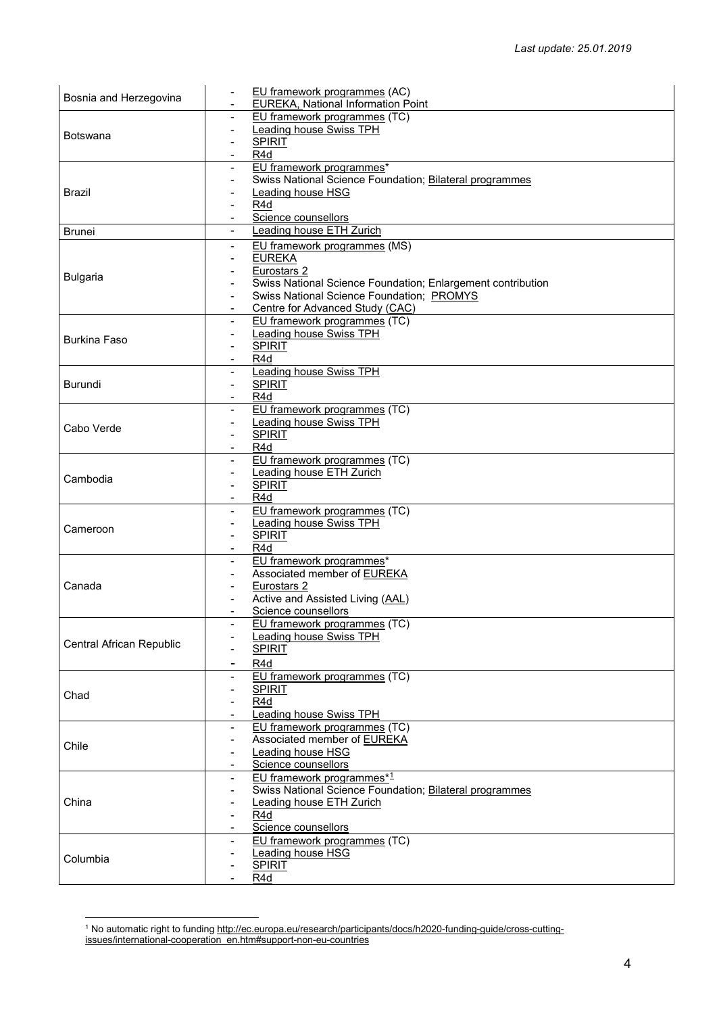| Bosnia and Herzegovina   | EU framework programmes (AC)                                    |
|--------------------------|-----------------------------------------------------------------|
|                          | <b>EUREKA, National Information Point</b>                       |
|                          | EU framework programmes (TC)<br>$\blacksquare$                  |
| <b>Botswana</b>          | Leading house Swiss TPH<br>$\blacksquare$                       |
|                          | <b>SPIRIT</b>                                                   |
|                          | R4d                                                             |
|                          | EU framework programmes*<br>$\blacksquare$                      |
|                          | Swiss National Science Foundation; Bilateral programmes         |
| <b>Brazil</b>            | <b>Leading house HSG</b>                                        |
|                          | R4d<br>Science counsellors                                      |
|                          | Leading house ETH Zurich                                        |
| <b>Brunei</b>            |                                                                 |
|                          | EU framework programmes (MS)<br>$\blacksquare$                  |
|                          | <b>EUREKA</b>                                                   |
| <b>Bulgaria</b>          | Eurostars 2                                                     |
|                          | Swiss National Science Foundation; Enlargement contribution     |
|                          | Swiss National Science Foundation; PROMYS<br>$\blacksquare$     |
|                          | Centre for Advanced Study (CAC)<br>EU framework programmes (TC) |
|                          | $\overline{\phantom{a}}$<br><b>Leading house Swiss TPH</b>      |
| <b>Burkina Faso</b>      | <b>SPIRIT</b>                                                   |
|                          | R4d                                                             |
|                          | <b>Leading house Swiss TPH</b>                                  |
| <b>Burundi</b>           | <b>SPIRIT</b><br>$\overline{\phantom{a}}$                       |
|                          | R4d                                                             |
|                          | EU framework programmes (TC)                                    |
|                          | <b>Leading house Swiss TPH</b>                                  |
| Cabo Verde               | <b>SPIRIT</b><br>$\blacksquare$                                 |
|                          | R4d                                                             |
|                          | EU framework programmes (TC)                                    |
|                          | <b>Leading house ETH Zurich</b>                                 |
| Cambodia                 | <b>SPIRIT</b><br>$\blacksquare$                                 |
|                          | R4d                                                             |
|                          | EU framework programmes (TC)                                    |
|                          | Leading house Swiss TPH                                         |
| Cameroon                 | <b>SPIRIT</b><br>$\blacksquare$                                 |
|                          | R4d                                                             |
|                          | EU framework programmes*                                        |
|                          | Associated member of EUREKA<br>$\overline{\phantom{a}}$         |
| Canada                   | Eurostars 2                                                     |
|                          | Active and Assisted Living (AAL)                                |
|                          | Science counsellors                                             |
|                          | EU framework programmes (TC)                                    |
| Central African Republic | <b>Leading house Swiss TPH</b>                                  |
|                          | <b>SPIRIT</b>                                                   |
|                          | R <sub>4d</sub>                                                 |
|                          | EU framework programmes (TC)                                    |
| Chad                     | <b>SPIRIT</b>                                                   |
|                          | R <sub>4</sub> d                                                |
|                          | <b>Leading house Swiss TPH</b>                                  |
|                          | EU framework programmes (TC)<br>$\overline{\phantom{a}}$        |
| Chile                    | Associated member of EUREKA                                     |
|                          | <b>Leading house HSG</b><br>$\overline{\phantom{a}}$            |
|                          | Science counsellors                                             |
|                          | EU framework programmes*1                                       |
|                          | Swiss National Science Foundation; Bilateral programmes         |
| China                    | <b>Leading house ETH Zurich</b>                                 |
|                          | R4d<br>Science counsellors                                      |
|                          | EU framework programmes (TC)<br>$\overline{\phantom{a}}$        |
|                          | Leading house HSG                                               |
| Columbia                 | <b>SPIRIT</b>                                                   |
|                          | R <sub>4</sub> d                                                |
|                          |                                                                 |

<span id="page-3-0"></span> <sup>1</sup> No automatic right to fundin[g http://ec.europa.eu/research/participants/docs/h2020-funding-guide/cross-cutting](http://ec.europa.eu/research/participants/docs/h2020-funding-guide/cross-cutting-issues/international-cooperation_en.htm#support-non-eu-countries)[issues/international-cooperation\\_en.htm#support-non-eu-countries](http://ec.europa.eu/research/participants/docs/h2020-funding-guide/cross-cutting-issues/international-cooperation_en.htm#support-non-eu-countries)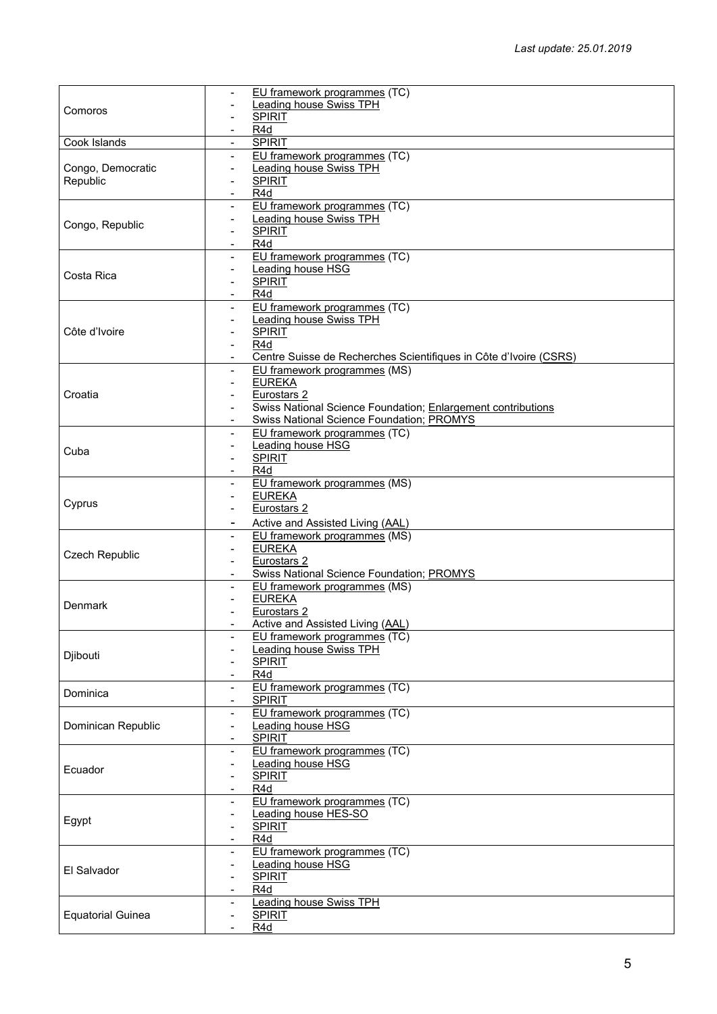| Comoros                  | EU framework programmes (TC)                                                                  |
|--------------------------|-----------------------------------------------------------------------------------------------|
|                          | Leading house Swiss TPH                                                                       |
|                          | <b>SPIRIT</b>                                                                                 |
|                          | R <sub>4</sub> d                                                                              |
| Cook Islands             | <b>SPIRIT</b>                                                                                 |
|                          | EU framework programmes (TC)<br>$\blacksquare$                                                |
| Congo, Democratic        | <b>Leading house Swiss TPH</b><br>$\overline{\phantom{a}}$                                    |
| Republic                 | <b>SPIRIT</b><br>$\overline{\phantom{a}}$                                                     |
|                          | R <sub>4</sub> d                                                                              |
|                          | EU framework programmes (TC)<br>$\blacksquare$                                                |
| Congo, Republic          | <b>Leading house Swiss TPH</b><br>$\blacksquare$                                              |
|                          | <b>SPIRIT</b><br>$\overline{\phantom{a}}$                                                     |
|                          | R4d                                                                                           |
|                          | EU framework programmes (TC)<br>$\blacksquare$                                                |
| Costa Rica               | Leading house HSG<br>$\blacksquare$                                                           |
|                          | <b>SPIRIT</b><br>$\overline{\phantom{a}}$<br>R <sub>4</sub> d                                 |
|                          | EU framework programmes (TC)<br>$\blacksquare$                                                |
|                          | <b>Leading house Swiss TPH</b><br>$\overline{\phantom{a}}$                                    |
| Côte d'Ivoire            | <b>SPIRIT</b>                                                                                 |
|                          | R <sub>4</sub> d                                                                              |
|                          | Centre Suisse de Recherches Scientifiques in Côte d'Ivoire (CSRS)<br>$\overline{\phantom{a}}$ |
|                          | EU framework programmes (MS)<br>$\overline{\phantom{a}}$                                      |
|                          | <b>EUREKA</b>                                                                                 |
| Croatia                  | Eurostars 2                                                                                   |
|                          | Swiss National Science Foundation; Enlargement contributions                                  |
|                          | <b>Swiss National Science Foundation; PROMYS</b>                                              |
|                          | EU framework programmes (TC)<br>$\overline{\phantom{a}}$                                      |
|                          | Leading house HSG<br>$\overline{\phantom{a}}$                                                 |
| Cuba                     | <b>SPIRIT</b><br>$\overline{\phantom{a}}$                                                     |
|                          | R <sub>4</sub> d                                                                              |
|                          | EU framework programmes (MS)<br>$\blacksquare$                                                |
|                          | <b>EUREKA</b>                                                                                 |
| Cyprus                   | Eurostars 2                                                                                   |
|                          | Active and Assisted Living (AAL)<br>۰                                                         |
|                          | EU framework programmes (MS)<br>$\overline{\phantom{0}}$                                      |
| <b>Czech Republic</b>    | <b>EUREKA</b><br>$\overline{\phantom{a}}$                                                     |
|                          | Eurostars 2                                                                                   |
|                          | Swiss National Science Foundation; PROMYS                                                     |
|                          | EU framework programmes (MS)<br>$\blacksquare$                                                |
| Denmark                  | <b>EUREKA</b>                                                                                 |
|                          | Eurostars <sub>2</sub>                                                                        |
|                          | Active and Assisted Living (AAL)                                                              |
|                          | EU framework programmes (TC)                                                                  |
| Djibouti                 | Leading house Swiss TPH                                                                       |
|                          | <b>SPIRIT</b>                                                                                 |
|                          | R4d<br>$\overline{\phantom{a}}$                                                               |
| Dominica                 | EU framework programmes (TC)<br>$\blacksquare$                                                |
|                          | <b>SPIRIT</b><br>EU framework programmes (TC)                                                 |
| Dominican Republic       | Leading house HSG<br>-                                                                        |
|                          | <b>SPIRIT</b>                                                                                 |
|                          | EU framework programmes (TC)<br>$\overline{\phantom{a}}$                                      |
|                          | Leading house HSG                                                                             |
| Ecuador                  | <b>SPIRIT</b>                                                                                 |
|                          | R <sub>4</sub> d                                                                              |
|                          | EU framework programmes (TC)<br>$\overline{\phantom{a}}$                                      |
|                          | Leading house HES-SO                                                                          |
| Egypt                    | <b>SPIRIT</b>                                                                                 |
|                          | R <sub>4</sub> d                                                                              |
|                          | EU framework programmes (TC)                                                                  |
|                          | Leading house HSG                                                                             |
| El Salvador              | <b>SPIRIT</b>                                                                                 |
|                          | R <sub>4</sub> d<br>-                                                                         |
|                          | <b>Leading house Swiss TPH</b><br>$\blacksquare$                                              |
| <b>Equatorial Guinea</b> | <b>SPIRIT</b>                                                                                 |
|                          | R4d                                                                                           |
|                          |                                                                                               |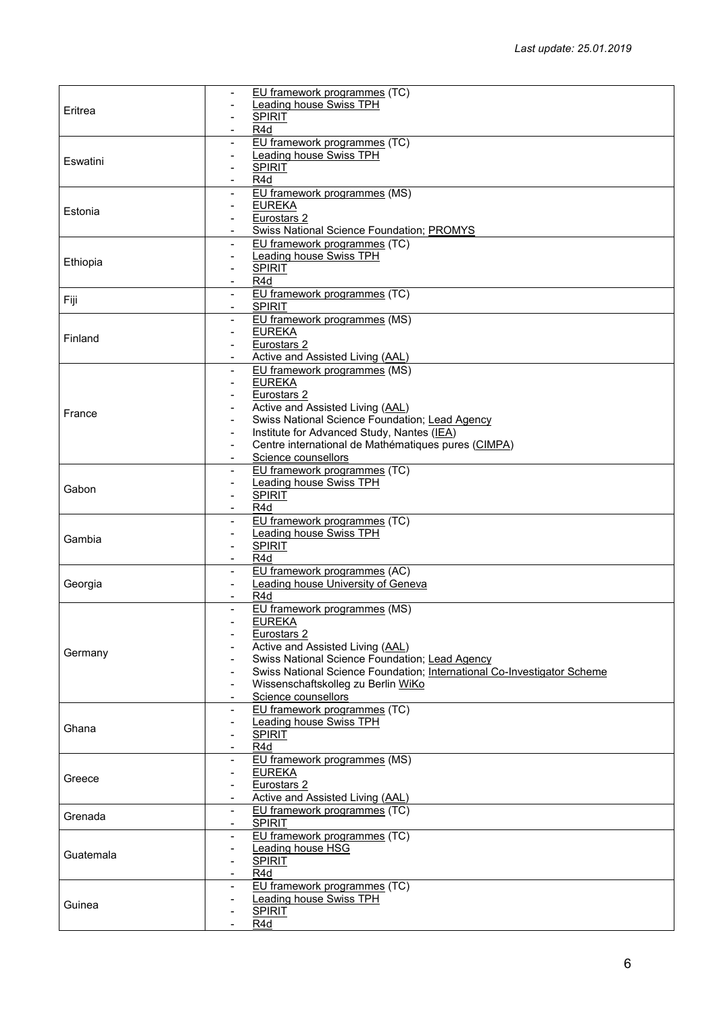| Eritrea   | EU framework programmes (TC)                                                    |
|-----------|---------------------------------------------------------------------------------|
|           | Leading house Swiss TPH                                                         |
|           | <b>SPIRIT</b><br>$\blacksquare$                                                 |
|           | R <sub>4</sub> d                                                                |
| Eswatini  | EU framework programmes (TC)                                                    |
|           | <b>Leading house Swiss TPH</b>                                                  |
|           | <b>SPIRIT</b><br>$\overline{\phantom{a}}$                                       |
|           | R4d                                                                             |
|           | EU framework programmes (MS)                                                    |
| Estonia   | <b>EUREKA</b>                                                                   |
|           | Eurostars 2                                                                     |
|           | Swiss National Science Foundation; PROMYS                                       |
|           | EU framework programmes (TC)                                                    |
| Ethiopia  | <b>Leading house Swiss TPH</b>                                                  |
|           | <b>SPIRIT</b><br>-                                                              |
|           | R4d                                                                             |
| Fiji      | EU framework programmes (TC)                                                    |
|           | <b>SPIRIT</b><br>$\blacksquare$                                                 |
|           | EU framework programmes (MS)<br>$\overline{\phantom{a}}$                        |
| Finland   | <b>EUREKA</b><br>$\blacksquare$                                                 |
|           | Eurostars <sub>2</sub>                                                          |
|           | Active and Assisted Living (AAL)                                                |
|           | EU framework programmes (MS)<br>$\overline{\phantom{a}}$                        |
|           | <b>EUREKA</b><br>$\overline{\phantom{0}}$                                       |
|           | Eurostars 2                                                                     |
| France    | Active and Assisted Living (AAL)                                                |
|           | Swiss National Science Foundation; Lead Agency                                  |
|           | Institute for Advanced Study, Nantes (IEA)<br>$\blacksquare$                    |
|           | Centre international de Mathématiques pures (CIMPA)<br>$\overline{\phantom{a}}$ |
|           | Science counsellors<br>$\overline{\phantom{a}}$                                 |
|           | EU framework programmes (TC)<br>$\overline{\phantom{a}}$                        |
| Gabon     | <b>Leading house Swiss TPH</b><br>$\blacksquare$                                |
|           | <b>SPIRIT</b>                                                                   |
|           | R <sub>4</sub> d<br>$\overline{\phantom{a}}$                                    |
|           | EU framework programmes (TC)<br>$\overline{\phantom{a}}$                        |
| Gambia    | <b>Leading house Swiss TPH</b><br>$\blacksquare$                                |
|           | <b>SPIRIT</b>                                                                   |
|           | R <sub>4</sub> d<br>$\overline{\phantom{a}}$                                    |
|           | EU framework programmes (AC)<br>$\blacksquare$                                  |
| Georgia   | <b>Leading house University of Geneva</b><br>$\overline{\phantom{a}}$           |
|           | R <sub>4</sub> d                                                                |
|           | EU framework programmes (MS)<br>$\blacksquare$                                  |
|           | <b>EUREKA</b>                                                                   |
|           | Eurostars 2                                                                     |
| Germany   | Active and Assisted Living (AAL)                                                |
|           | Swiss National Science Foundation; Lead Agency                                  |
|           | Swiss National Science Foundation; International Co-Investigator Scheme         |
|           | Wissenschaftskolleg zu Berlin WiKo                                              |
|           | Science counsellors                                                             |
|           | EU framework programmes (TC)<br>$\overline{\phantom{a}}$                        |
| Ghana     | <b>Leading house Swiss TPH</b>                                                  |
|           | <b>SPIRIT</b>                                                                   |
|           | R <sub>4</sub> d                                                                |
|           | EU framework programmes (MS)<br>$\overline{\phantom{a}}$                        |
| Greece    | <b>EUREKA</b><br>$\overline{\phantom{a}}$                                       |
|           | Eurostars 2                                                                     |
|           | Active and Assisted Living (AAL)                                                |
| Grenada   | EU framework programmes (TC)<br>$\overline{\phantom{a}}$<br><b>SPIRIT</b>       |
|           |                                                                                 |
|           | EU framework programmes (TC)<br>$\overline{\phantom{0}}$                        |
| Guatemala | <b>Leading house HSG</b>                                                        |
|           | <b>SPIRIT</b><br>-                                                              |
|           | R <sub>4</sub> d                                                                |
|           | EU framework programmes (TC)                                                    |
| Guinea    |                                                                                 |
|           | <b>Leading house Swiss TPH</b>                                                  |
|           | <b>SPIRIT</b><br>R4d                                                            |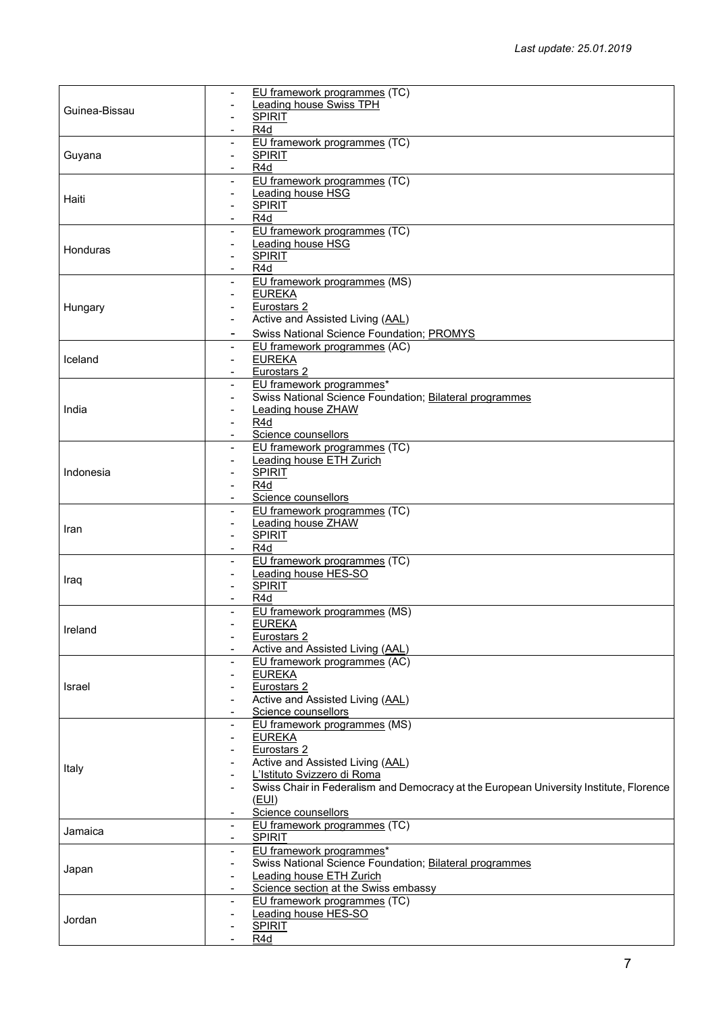|               | EU framework programmes (TC)                                                           |
|---------------|----------------------------------------------------------------------------------------|
| Guinea-Bissau | <b>Leading house Swiss TPH</b>                                                         |
|               |                                                                                        |
|               | <b>SPIRIT</b>                                                                          |
|               | R4d                                                                                    |
| Guyana        | EU framework programmes (TC)                                                           |
|               | <b>SPIRIT</b><br>$\blacksquare$                                                        |
|               |                                                                                        |
|               | R4d<br>$\overline{\phantom{a}}$                                                        |
|               | EU framework programmes (TC)<br>$\overline{\phantom{0}}$                               |
|               | Leading house HSG                                                                      |
| Haiti         | <b>SPIRIT</b>                                                                          |
|               |                                                                                        |
|               | R4d<br>$\overline{\phantom{a}}$                                                        |
|               | EU framework programmes (TC)<br>$\blacksquare$                                         |
|               | Leading house HSG                                                                      |
| Honduras      | <b>SPIRIT</b>                                                                          |
|               |                                                                                        |
|               | R <sub>4</sub> d<br>$\overline{\phantom{a}}$                                           |
|               | EU framework programmes (MS)                                                           |
|               | <b>EUREKA</b>                                                                          |
|               | Eurostars <sub>2</sub>                                                                 |
| Hungary       |                                                                                        |
|               | Active and Assisted Living (AAL)<br>$\blacksquare$                                     |
|               | <b>Swiss National Science Foundation; PROMYS</b><br>$\blacksquare$                     |
|               | EU framework programmes (AC)                                                           |
|               | $\blacksquare$                                                                         |
| Iceland       | <b>EUREKA</b><br>$\blacksquare$                                                        |
|               | Eurostars 2                                                                            |
|               | EU framework programmes*<br>$\blacksquare$                                             |
|               | Swiss National Science Foundation; Bilateral programmes                                |
|               |                                                                                        |
| India         | <b>Leading house ZHAW</b>                                                              |
|               | R4d                                                                                    |
|               | Science counsellors<br>$\overline{\phantom{a}}$                                        |
|               | EU framework programmes (TC)<br>$\blacksquare$                                         |
|               |                                                                                        |
|               | <b>Leading house ETH Zurich</b>                                                        |
| Indonesia     | <b>SPIRIT</b>                                                                          |
|               | R <sub>4</sub> d<br>$\overline{\phantom{0}}$                                           |
|               | Science counsellors                                                                    |
|               |                                                                                        |
|               | EU framework programmes (TC)                                                           |
| Iran          | Leading house ZHAW                                                                     |
|               | <b>SPIRIT</b><br>$\overline{\phantom{a}}$                                              |
|               | R <sub>4</sub> d                                                                       |
|               | EU framework programmes (TC)                                                           |
|               |                                                                                        |
| Iraq          | Leading house HES-SO                                                                   |
|               | <b>SPIRIT</b><br>$\blacksquare$                                                        |
|               | R <sub>4</sub> d                                                                       |
|               | EU framework programmes (MS)                                                           |
|               |                                                                                        |
| Ireland       | <b>EUREKA</b>                                                                          |
|               | Eurostars <sub>2</sub>                                                                 |
|               | Active and Assisted Living (AAL)                                                       |
|               | EU framework programmes (AC)                                                           |
|               |                                                                                        |
|               | <b>EUREKA</b>                                                                          |
| Israel        | Eurostars <sub>2</sub>                                                                 |
|               | Active and Assisted Living (AAL)                                                       |
|               | Science counsellors                                                                    |
|               |                                                                                        |
|               | EU framework programmes (MS)                                                           |
|               | <b>EUREKA</b>                                                                          |
|               | Eurostars <sub>2</sub>                                                                 |
|               | Active and Assisted Living (AAL)                                                       |
| Italy         |                                                                                        |
|               | L'Istituto Svizzero di Roma                                                            |
|               | Swiss Chair in Federalism and Democracy at the European University Institute, Florence |
|               | (EUI)                                                                                  |
|               | Science counsellors                                                                    |
|               |                                                                                        |
| Jamaica       | EU framework programmes (TC)<br>$\blacksquare$                                         |
|               | <b>SPIRIT</b>                                                                          |
|               | EU framework programmes*                                                               |
|               | Swiss National Science Foundation; Bilateral programmes                                |
| Japan         |                                                                                        |
|               | Leading house ETH Zurich                                                               |
|               | Science section at the Swiss embassy                                                   |
|               | EU framework programmes (TC)                                                           |
|               | Leading house HES-SO                                                                   |
| Jordan        | <b>SPIRIT</b>                                                                          |
|               |                                                                                        |
|               | R4d                                                                                    |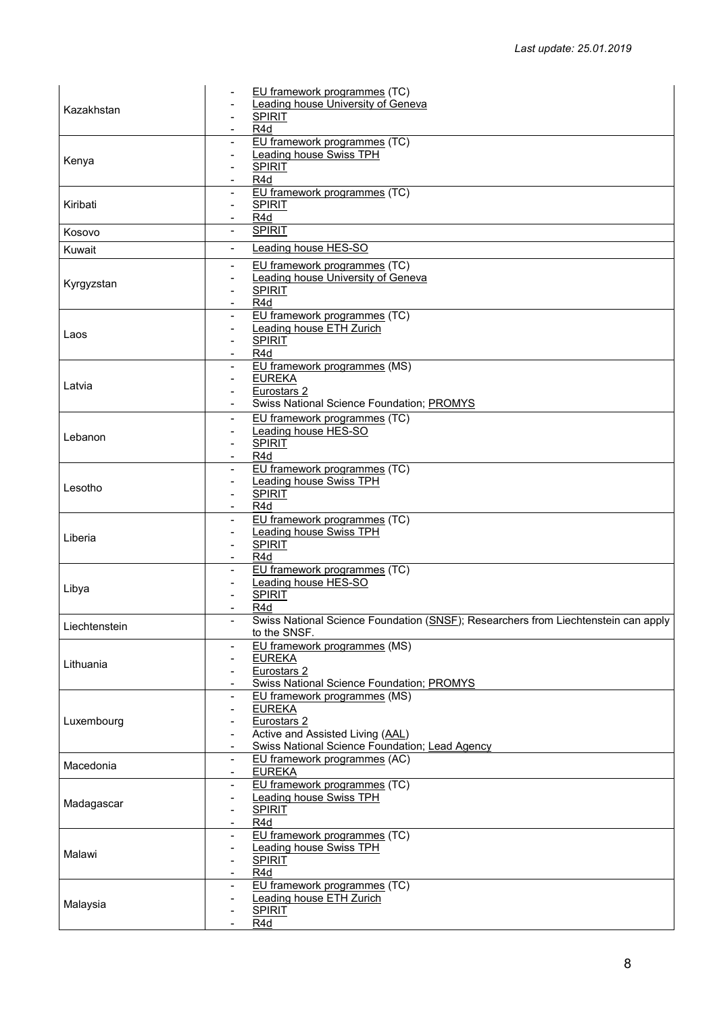| Kazakhstan    | EU framework programmes (TC)                                                       |
|---------------|------------------------------------------------------------------------------------|
|               | <b>Leading house University of Geneva</b>                                          |
|               | <b>SPIRIT</b>                                                                      |
|               | R <sub>4</sub> d                                                                   |
|               | EU framework programmes (TC)                                                       |
| Kenya         | Leading house Swiss TPH                                                            |
|               | <b>SPIRIT</b>                                                                      |
|               | R <sub>4</sub> d                                                                   |
| Kiribati      | EU framework programmes (TC)                                                       |
|               | <b>SPIRIT</b><br>R <sub>4</sub> d                                                  |
|               | <b>SPIRIT</b><br>$\blacksquare$                                                    |
| Kosovo        |                                                                                    |
| Kuwait        | Leading house HES-SO<br>$\blacksquare$                                             |
|               | EU framework programmes (TC)                                                       |
| Kyrgyzstan    | <b>Leading house University of Geneva</b>                                          |
|               | <b>SPIRIT</b>                                                                      |
|               | R4d                                                                                |
|               | EU framework programmes (TC)                                                       |
| Laos          | <b>Leading house ETH Zurich</b>                                                    |
|               | <b>SPIRIT</b>                                                                      |
|               | R4d                                                                                |
|               | EU framework programmes (MS)<br><b>EUREKA</b>                                      |
| Latvia        | Eurostars <sub>2</sub>                                                             |
|               | Swiss National Science Foundation; PROMYS                                          |
|               | EU framework programmes (TC)                                                       |
|               | Leading house HES-SO                                                               |
| Lebanon       | <b>SPIRIT</b><br>$\blacksquare$                                                    |
|               | R4d                                                                                |
|               | EU framework programmes (TC)                                                       |
|               | <b>Leading house Swiss TPH</b>                                                     |
| Lesotho       | <b>SPIRIT</b><br>$\blacksquare$                                                    |
|               | R4d                                                                                |
|               | EU framework programmes (TC)                                                       |
| Liberia       | <b>Leading house Swiss TPH</b>                                                     |
|               | <b>SPIRIT</b><br>$\blacksquare$                                                    |
|               | R <sub>4</sub> d                                                                   |
|               | EU framework programmes (TC)                                                       |
| Libya         | Leading house HES-SO                                                               |
|               | <b>SPIRIT</b>                                                                      |
|               | R <sub>4</sub> d                                                                   |
| Liechtenstein | Swiss National Science Foundation (SNSF); Researchers from Liechtenstein can apply |
|               | to the SNSF.<br>EU framework programmes (MS)                                       |
|               | <b>EUREKA</b>                                                                      |
| Lithuania     | Eurostars <sub>2</sub>                                                             |
|               | Swiss National Science Foundation; PROMYS                                          |
|               | EU framework programmes (MS)<br>$\overline{\phantom{a}}$                           |
|               | <b>EUREKA</b>                                                                      |
| Luxembourg    | Eurostars <sub>2</sub>                                                             |
|               | Active and Assisted Living (AAL)                                                   |
|               | Swiss National Science Foundation; Lead Agency<br>$\blacksquare$                   |
| Macedonia     | EU framework programmes (AC)<br>$\blacksquare$                                     |
|               | <b>EUREKA</b><br>$\overline{\phantom{a}}$                                          |
|               | EU framework programmes (TC)                                                       |
| Madagascar    | <b>Leading house Swiss TPH</b><br>$\blacksquare$                                   |
|               | <b>SPIRIT</b>                                                                      |
|               | R <sub>4</sub> d<br>$\overline{\phantom{a}}$                                       |
|               | EU framework programmes (TC)                                                       |
| Malawi        | Leading house Swiss TPH                                                            |
|               | <b>SPIRIT</b><br>R4d                                                               |
|               | EU framework programmes (TC)                                                       |
|               | $\blacksquare$<br><b>Leading house ETH Zurich</b>                                  |
| Malaysia      | <b>SPIRIT</b>                                                                      |
|               | R4d                                                                                |
|               |                                                                                    |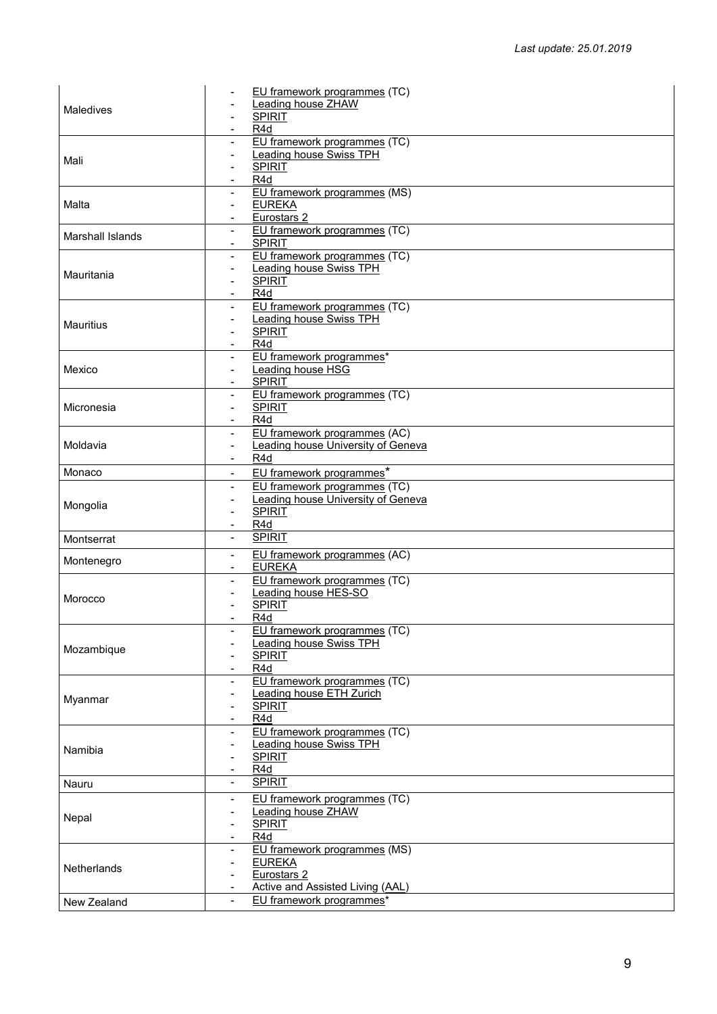|                         | EU framework programmes (TC)                                          |
|-------------------------|-----------------------------------------------------------------------|
|                         | <b>Leading house ZHAW</b>                                             |
| Maledives               | <b>SPIRIT</b>                                                         |
|                         | R4d                                                                   |
|                         |                                                                       |
|                         | EU framework programmes (TC)<br>$\blacksquare$                        |
| Mali                    | <b>Leading house Swiss TPH</b><br>$\qquad \qquad \blacksquare$        |
|                         | <b>SPIRIT</b>                                                         |
|                         | R <sub>4</sub> d<br>$\blacksquare$                                    |
|                         | EU framework programmes (MS)<br>$\blacksquare$                        |
| Malta                   | <b>EUREKA</b><br>$\overline{\phantom{a}}$                             |
|                         | Eurostars <sub>2</sub>                                                |
|                         | EU framework programmes (TC)<br>$\blacksquare$                        |
| <b>Marshall Islands</b> | <b>SPIRIT</b>                                                         |
|                         | EU framework programmes (TC)<br>$\overline{\phantom{a}}$              |
|                         | <b>Leading house Swiss TPH</b><br>$\blacksquare$                      |
| Mauritania              | <b>SPIRIT</b>                                                         |
|                         | R4d                                                                   |
|                         |                                                                       |
|                         | EU framework programmes (TC)<br>$\blacksquare$                        |
| Mauritius               | Leading house Swiss TPH<br>$\overline{\phantom{a}}$                   |
|                         | <b>SPIRIT</b>                                                         |
|                         | R4d                                                                   |
|                         | EU framework programmes*<br>$\blacksquare$                            |
| Mexico                  | Leading house HSG<br>$\overline{\phantom{a}}$                         |
|                         | <b>SPIRIT</b>                                                         |
|                         | EU framework programmes (TC)<br>$\blacksquare$                        |
| Micronesia              | <b>SPIRIT</b>                                                         |
|                         | $\blacksquare$                                                        |
|                         | R4d                                                                   |
|                         | EU framework programmes (AC)<br>$\overline{\phantom{a}}$              |
| Moldavia                | Leading house University of Geneva<br>$\blacksquare$                  |
|                         | R <sub>4</sub> d<br>$\overline{\phantom{a}}$                          |
| Monaco                  | EU framework programmes*<br>$\overline{\phantom{a}}$                  |
|                         | EU framework programmes (TC)<br>$\blacksquare$                        |
|                         | <b>Leading house University of Geneva</b><br>$\overline{\phantom{a}}$ |
| Mongolia                | <b>SPIRIT</b>                                                         |
|                         | $\overline{\phantom{0}}$                                              |
|                         | R4d                                                                   |
| Montserrat              | <b>SPIRIT</b><br>$\blacksquare$                                       |
|                         | EU framework programmes (AC)<br>$\blacksquare$                        |
| Montenegro              | <b>EUREKA</b>                                                         |
|                         | EU framework programmes (TC)<br>$\overline{\phantom{a}}$              |
|                         | Leading house HES-SO                                                  |
| Morocco                 |                                                                       |
|                         | <b>SPIRIT</b>                                                         |
|                         | R4d                                                                   |
|                         | EU framework programmes (TC)                                          |
| Mozambique              | Leading house Swiss TPH                                               |
|                         | <b>SPIRIT</b>                                                         |
|                         | R4d                                                                   |
|                         | EU framework programmes (TC)<br>$\overline{\phantom{a}}$              |
|                         | <b>Leading house ETH Zurich</b>                                       |
| Myanmar                 | <b>SPIRIT</b>                                                         |
|                         | R <sub>4</sub> d<br>$\overline{\phantom{a}}$                          |
|                         |                                                                       |
|                         |                                                                       |
| Namibia                 | EU framework programmes (TC)<br>$\overline{\phantom{a}}$              |
|                         | <b>Leading house Swiss TPH</b><br>$\overline{\phantom{a}}$            |
|                         | <b>SPIRIT</b>                                                         |
|                         | R4d<br>$\overline{\phantom{a}}$                                       |
| Nauru                   | <b>SPIRIT</b><br>$\blacksquare$                                       |
|                         | $\overline{\phantom{a}}$                                              |
|                         | EU framework programmes (TC)                                          |
| Nepal                   | <b>Leading house ZHAW</b><br>$\overline{\phantom{a}}$                 |
|                         | <b>SPIRIT</b><br>$\overline{\phantom{0}}$                             |
|                         | R4d<br>$\overline{\phantom{a}}$                                       |
|                         | EU framework programmes (MS)<br>$\blacksquare$                        |
|                         | <b>EUREKA</b><br>$\overline{\phantom{a}}$                             |
| <b>Netherlands</b>      | Eurostars <sub>2</sub><br>$\blacksquare$                              |
|                         | Active and Assisted Living (AAL)                                      |
| New Zealand             | EU framework programmes*<br>$\blacksquare$                            |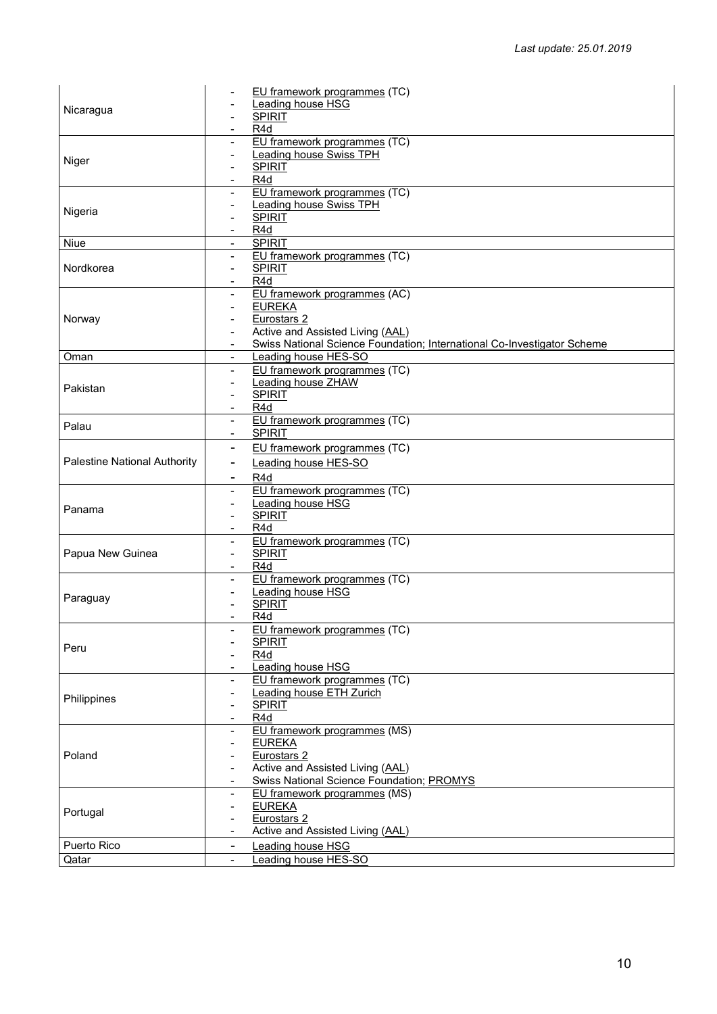|                                     | EU framework programmes (TC)                                              |
|-------------------------------------|---------------------------------------------------------------------------|
| Nicaragua                           | Leading house HSG                                                         |
|                                     | <b>SPIRIT</b>                                                             |
|                                     | R <sub>4</sub> d                                                          |
|                                     | EU framework programmes (TC)                                              |
|                                     | <b>Leading house Swiss TPH</b>                                            |
| Niger                               | <b>SPIRIT</b><br>$\qquad \qquad \blacksquare$                             |
|                                     | R4d<br>$\overline{\phantom{a}}$                                           |
|                                     | EU framework programmes (TC)                                              |
|                                     | <b>Leading house Swiss TPH</b>                                            |
| Nigeria                             | <b>SPIRIT</b>                                                             |
|                                     | R <sub>4</sub> d<br>$\blacksquare$                                        |
| Niue                                | <b>SPIRIT</b>                                                             |
|                                     | EU framework programmes (TC)                                              |
| Nordkorea                           | <b>SPIRIT</b><br>$\blacksquare$                                           |
|                                     | R4d                                                                       |
|                                     | EU framework programmes (AC)                                              |
|                                     | <b>EUREKA</b>                                                             |
|                                     | Eurostars 2                                                               |
| Norway                              | Active and Assisted Living (AAL)                                          |
|                                     |                                                                           |
|                                     | Swiss National Science Foundation; International Co-Investigator Scheme   |
| Oman                                | Leading house HES-SO<br>$\blacksquare$                                    |
|                                     | EU framework programmes (TC)<br>$\overline{\phantom{a}}$                  |
| Pakistan                            | <b>Leading house ZHAW</b>                                                 |
|                                     | <b>SPIRIT</b>                                                             |
|                                     | R <sub>4</sub> d<br>$\overline{\phantom{a}}$                              |
| Palau                               | EU framework programmes (TC)<br>$\blacksquare$                            |
|                                     | <b>SPIRIT</b><br>$\overline{\phantom{a}}$                                 |
|                                     | EU framework programmes (TC)<br>$\blacksquare$                            |
| <b>Palestine National Authority</b> | Leading house HES-SO<br>۰                                                 |
|                                     | R <sub>4</sub> d<br>۰                                                     |
|                                     | EU framework programmes (TC)                                              |
|                                     | Leading house HSG                                                         |
| Panama                              | <b>SPIRIT</b>                                                             |
|                                     | $\overline{\phantom{a}}$<br>R <sub>4</sub> d                              |
|                                     |                                                                           |
|                                     | EU framework programmes (TC)<br>$\overline{\phantom{a}}$<br><b>SPIRIT</b> |
| Papua New Guinea                    | R <sub>4</sub> d                                                          |
|                                     | $\blacksquare$                                                            |
|                                     | EU framework programmes (TC)<br>$\overline{\phantom{a}}$                  |
| Paraguay                            | Leading house HSG                                                         |
|                                     | <b>SPIRIT</b>                                                             |
|                                     | R4d<br>$\blacksquare$                                                     |
|                                     | EU framework programmes (TC)                                              |
| Peru                                | <b>SPIRIT</b>                                                             |
|                                     | R4d                                                                       |
|                                     | Leading house HSG<br>$\overline{\phantom{a}}$                             |
|                                     | EU framework programmes (TC)<br>$\overline{\phantom{a}}$                  |
| Philippines                         | <b>Leading house ETH Zurich</b>                                           |
|                                     | <b>SPIRIT</b>                                                             |
|                                     | R <sub>4</sub> d<br>$\overline{\phantom{a}}$                              |
|                                     | EU framework programmes (MS)<br>$\overline{\phantom{a}}$                  |
|                                     | <b>EUREKA</b>                                                             |
| Poland                              | Eurostars 2                                                               |
|                                     | Active and Assisted Living (AAL)<br>$\qquad \qquad \blacksquare$          |
|                                     | <b>Swiss National Science Foundation; PROMYS</b>                          |
|                                     | EU framework programmes (MS)<br>$\blacksquare$                            |
|                                     | <b>EUREKA</b>                                                             |
| Portugal                            | Eurostars <sub>2</sub>                                                    |
|                                     | Active and Assisted Living (AAL)                                          |
| Puerto Rico                         | <b>Leading house HSG</b><br>۰                                             |
|                                     | Leading house HES-SO                                                      |
| Qatar                               |                                                                           |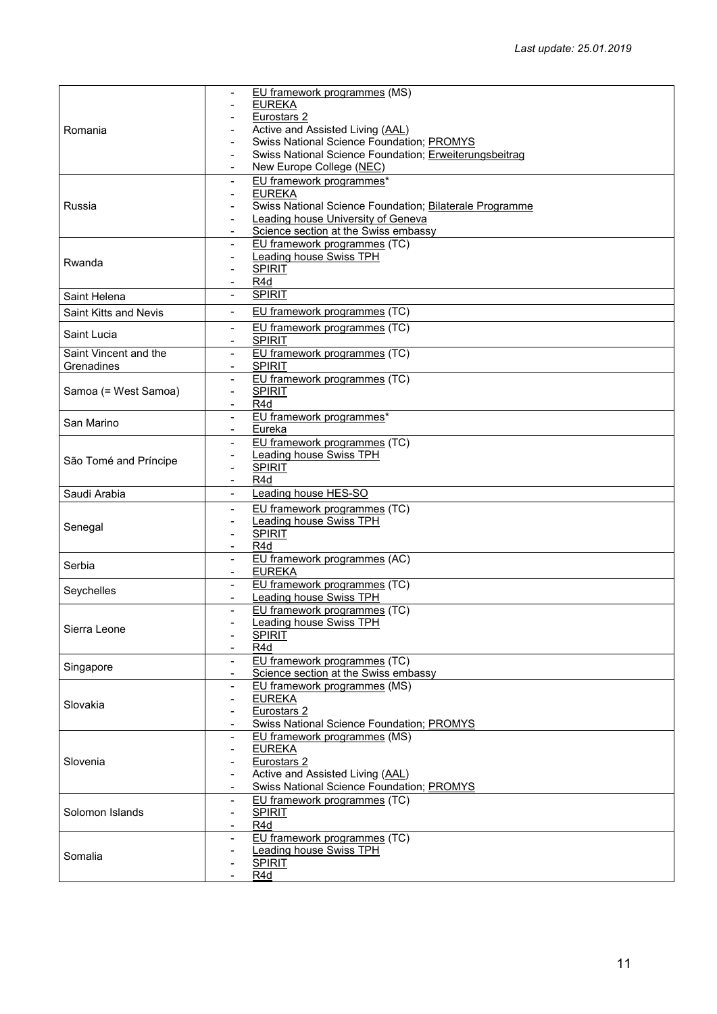|                              | EU framework programmes (MS)                                              |
|------------------------------|---------------------------------------------------------------------------|
| Romania                      | <b>EUREKA</b>                                                             |
|                              | Eurostars 2                                                               |
|                              | Active and Assisted Living (AAL)                                          |
|                              | Swiss National Science Foundation; PROMYS                                 |
|                              | Swiss National Science Foundation; Erweiterungsbeitrag                    |
|                              | New Europe College (NEC)                                                  |
|                              | EU framework programmes*                                                  |
|                              | <b>EUREKA</b><br>$\blacksquare$                                           |
| Russia                       | Swiss National Science Foundation; Bilaterale Programme                   |
|                              | Leading house University of Geneva                                        |
|                              | Science section at the Swiss embassy<br>$\blacksquare$                    |
|                              | EU framework programmes (TC)                                              |
| Rwanda                       | <b>Leading house Swiss TPH</b>                                            |
|                              | <b>SPIRIT</b>                                                             |
|                              | R <sub>4</sub> d<br>$\overline{\phantom{a}}$                              |
| Saint Helena                 | <b>SPIRIT</b><br>$\blacksquare$                                           |
| <b>Saint Kitts and Nevis</b> | EU framework programmes (TC)                                              |
|                              | EU framework programmes (TC)<br>$\blacksquare$                            |
| Saint Lucia                  | <b>SPIRIT</b>                                                             |
| Saint Vincent and the        | EU framework programmes (TC)<br>$\overline{\phantom{a}}$                  |
| Grenadines                   | <b>SPIRIT</b>                                                             |
|                              | EU framework programmes (TC)                                              |
| Samoa (= West Samoa)         | <b>SPIRIT</b><br>$\overline{\phantom{a}}$                                 |
|                              | R <sub>4</sub> d<br>$\blacksquare$                                        |
|                              | EU framework programmes*<br>$\blacksquare$                                |
| San Marino                   | Eureka                                                                    |
|                              | EU framework programmes (TC)                                              |
|                              | Leading house Swiss TPH                                                   |
| São Tomé and Príncipe        | <b>SPIRIT</b>                                                             |
|                              | R <sub>4</sub> d                                                          |
| Saudi Arabia                 | Leading house HES-SO                                                      |
|                              | EU framework programmes (TC)<br>-                                         |
|                              | <b>Leading house Swiss TPH</b>                                            |
| Senegal                      | <b>SPIRIT</b><br>$\overline{\phantom{a}}$                                 |
|                              | R <sub>4</sub> d                                                          |
| Serbia                       | EU framework programmes (AC)<br>$\blacksquare$                            |
|                              | <b>EUREKA</b>                                                             |
| Seychelles                   | EU framework programmes (TC)<br>$\blacksquare$                            |
|                              | Leading house Swiss TPH                                                   |
|                              | EU framework programmes (TC)                                              |
| Sierra Leone                 | <b>Leading house Swiss TPH</b>                                            |
|                              | <b>SPIRIT</b>                                                             |
|                              | R4d                                                                       |
| Singapore                    | EU framework programmes (TC)                                              |
|                              | Science section at the Swiss embassy                                      |
|                              | EU framework programmes (MS)<br>$\blacksquare$                            |
| Slovakia                     | <b>EUREKA</b><br>$\blacksquare$                                           |
|                              | Eurostars <sub>2</sub>                                                    |
|                              | <b>Swiss National Science Foundation; PROMYS</b>                          |
|                              | EU framework programmes (MS)<br>$\overline{\phantom{a}}$<br><b>EUREKA</b> |
| Slovenia                     |                                                                           |
|                              |                                                                           |
|                              | Eurostars <sub>2</sub>                                                    |
|                              | Active and Assisted Living (AAL)                                          |
|                              | Swiss National Science Foundation; PROMYS<br>$\blacksquare$               |
|                              | EU framework programmes (TC)<br>$\blacksquare$                            |
| Solomon Islands              | <b>SPIRIT</b>                                                             |
|                              | R <sub>4</sub> d<br>$\blacksquare$                                        |
|                              | EU framework programmes (TC)                                              |
| Somalia                      | Leading house Swiss TPH<br><b>SPIRIT</b>                                  |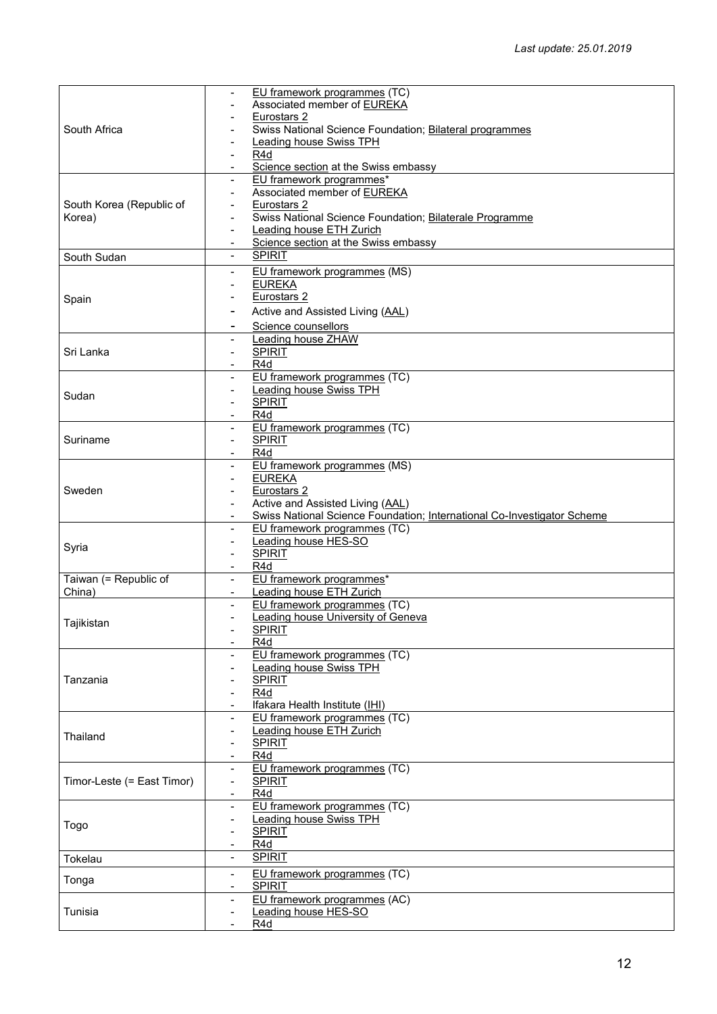|                            | EU framework programmes (TC)                                            |
|----------------------------|-------------------------------------------------------------------------|
|                            | Associated member of EUREKA                                             |
|                            | Eurostars 2                                                             |
| South Africa               | Swiss National Science Foundation; Bilateral programmes                 |
|                            |                                                                         |
|                            | <b>Leading house Swiss TPH</b>                                          |
|                            | R4d                                                                     |
|                            | Science section at the Swiss embassy<br>$\overline{\phantom{a}}$        |
|                            | EU framework programmes*<br>$\blacksquare$                              |
|                            |                                                                         |
|                            | Associated member of EUREKA                                             |
| South Korea (Republic of   | Eurostars 2                                                             |
| Korea)                     | Swiss National Science Foundation; Bilaterale Programme                 |
|                            | <b>Leading house ETH Zurich</b><br>$\blacksquare$                       |
|                            |                                                                         |
|                            | Science section at the Swiss embassy                                    |
| South Sudan                | <b>SPIRIT</b><br>$\blacksquare$                                         |
|                            | EU framework programmes (MS)<br>$\overline{\phantom{a}}$                |
|                            |                                                                         |
|                            | <b>EUREKA</b>                                                           |
| Spain                      | Eurostars 2                                                             |
|                            | Active and Assisted Living (AAL)                                        |
|                            |                                                                         |
|                            | Science counsellors<br>-                                                |
|                            | <b>Leading house ZHAW</b><br>$\overline{\phantom{a}}$                   |
| Sri Lanka                  | <b>SPIRIT</b><br>$\blacksquare$                                         |
|                            |                                                                         |
|                            | R4d                                                                     |
|                            | EU framework programmes (TC)                                            |
|                            | <b>Leading house Swiss TPH</b><br>$\overline{\phantom{a}}$              |
| Sudan                      | <b>SPIRIT</b>                                                           |
|                            | $\blacksquare$                                                          |
|                            | R <sub>4</sub> d                                                        |
|                            | EU framework programmes (TC)<br>$\blacksquare$                          |
| Suriname                   | <b>SPIRIT</b><br>$\overline{\phantom{a}}$                               |
|                            | R4d                                                                     |
|                            |                                                                         |
|                            | EU framework programmes (MS)                                            |
|                            | <b>EUREKA</b>                                                           |
| Sweden                     | Eurostars 2                                                             |
|                            | Active and Assisted Living (AAL)                                        |
|                            |                                                                         |
|                            | Swiss National Science Foundation; International Co-Investigator Scheme |
|                            | EU framework programmes (TC)                                            |
|                            | Leading house HES-SO<br>$\blacksquare$                                  |
| Syria                      |                                                                         |
|                            | <b>SPIRIT</b>                                                           |
|                            |                                                                         |
|                            | R <sub>4</sub> d                                                        |
|                            | $\overline{\phantom{a}}$                                                |
| Taiwan (= Republic of      | EU framework programmes*                                                |
| China)                     | Leading house ETH Zurich<br>$\blacksquare$                              |
|                            | EU framework programmes (TC)<br>$\overline{\phantom{a}}$                |
|                            | <b>Leading house University of Geneva</b>                               |
| Tajikistan                 |                                                                         |
|                            | <b>SPIRIT</b>                                                           |
|                            | R <sub>4</sub> d                                                        |
|                            | EU framework programmes (TC)                                            |
|                            | <b>Leading house Swiss TPH</b>                                          |
| Tanzania                   |                                                                         |
|                            | <b>SPIRIT</b>                                                           |
|                            | R <sub>4</sub> d                                                        |
|                            | Ifakara Health Institute (IHI)                                          |
|                            | EU framework programmes (TC)                                            |
|                            |                                                                         |
| Thailand                   | <b>Leading house ETH Zurich</b>                                         |
|                            | <b>SPIRIT</b>                                                           |
|                            | R <sub>4</sub> d<br>$\blacksquare$                                      |
|                            | EU framework programmes (TC)<br>$\overline{\phantom{a}}$                |
|                            | $\overline{\phantom{a}}$                                                |
| Timor-Leste (= East Timor) | <b>SPIRIT</b>                                                           |
|                            | R4d<br>$\overline{\phantom{a}}$                                         |
|                            | EU framework programmes (TC)<br>$\overline{\phantom{a}}$                |
|                            | <b>Leading house Swiss TPH</b>                                          |
| Togo                       |                                                                         |
|                            | <b>SPIRIT</b>                                                           |
|                            | R4d<br>$\overline{\phantom{a}}$                                         |
| Tokelau                    | <b>SPIRIT</b><br>$\blacksquare$                                         |
|                            | $\overline{\phantom{a}}$                                                |
| Tonga                      | EU framework programmes (TC)                                            |
|                            | <b>SPIRIT</b>                                                           |
|                            | EU framework programmes (AC)                                            |
| Tunisia                    |                                                                         |
|                            | Leading house HES-SO<br>R <sub>4</sub> d<br>$\overline{\phantom{a}}$    |